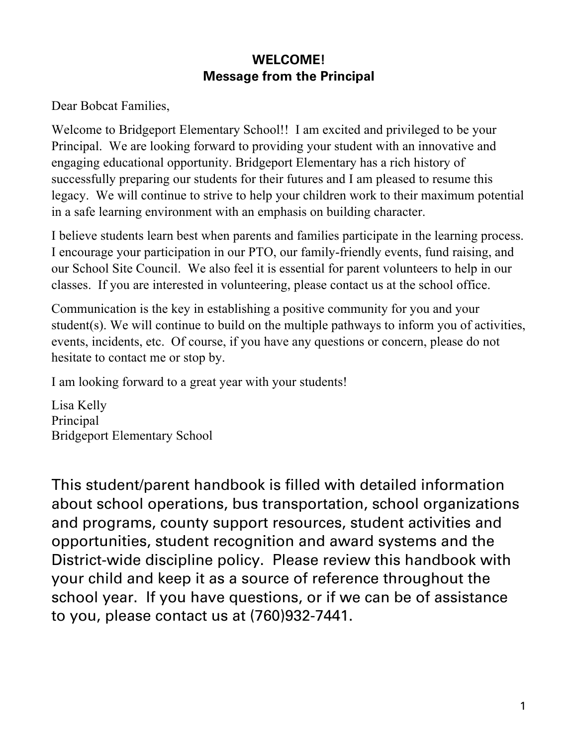# **WELCOME! Message from the Principal**

Dear Bobcat Families,

Welcome to Bridgeport Elementary School!! I am excited and privileged to be your Principal. We are looking forward to providing your student with an innovative and engaging educational opportunity. Bridgeport Elementary has a rich history of successfully preparing our students for their futures and I am pleased to resume this legacy. We will continue to strive to help your children work to their maximum potential in a safe learning environment with an emphasis on building character.

I believe students learn best when parents and families participate in the learning process. I encourage your participation in our PTO, our family-friendly events, fund raising, and our School Site Council. We also feel it is essential for parent volunteers to help in our classes. If you are interested in volunteering, please contact us at the school office.

Communication is the key in establishing a positive community for you and your student(s). We will continue to build on the multiple pathways to inform you of activities, events, incidents, etc. Of course, if you have any questions or concern, please do not hesitate to contact me or stop by.

I am looking forward to a great year with your students!

Lisa Kelly Principal Bridgeport Elementary School

This student/parent handbook is filled with detailed information about school operations, bus transportation, school organizations and programs, county support resources, student activities and opportunities, student recognition and award systems and the District-wide discipline policy. Please review this handbook with your child and keep it as a source of reference throughout the school year. If you have questions, or if we can be of assistance to you, please contact us at (760)932-7441.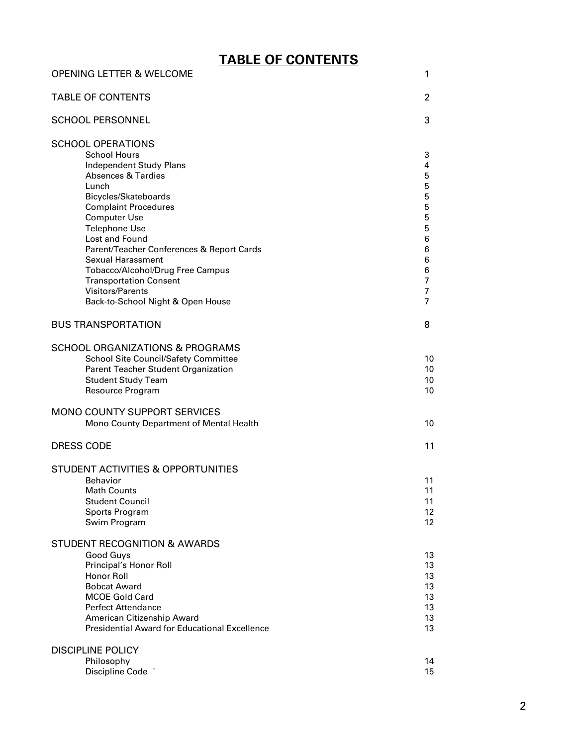# **TABLE OF CONTENTS**

| <b>OPENING LETTER &amp; WELCOME</b>                                                                                                                                                                                                                                                                                                                                                                                                                               | 1                                                                       |
|-------------------------------------------------------------------------------------------------------------------------------------------------------------------------------------------------------------------------------------------------------------------------------------------------------------------------------------------------------------------------------------------------------------------------------------------------------------------|-------------------------------------------------------------------------|
| <b>TABLE OF CONTENTS</b>                                                                                                                                                                                                                                                                                                                                                                                                                                          | 2                                                                       |
| <b>SCHOOL PERSONNEL</b>                                                                                                                                                                                                                                                                                                                                                                                                                                           | 3                                                                       |
| <b>SCHOOL OPERATIONS</b><br><b>School Hours</b><br><b>Independent Study Plans</b><br><b>Absences &amp; Tardies</b><br>Lunch<br>Bicycles/Skateboards<br><b>Complaint Procedures</b><br><b>Computer Use</b><br><b>Telephone Use</b><br>Lost and Found<br>Parent/Teacher Conferences & Report Cards<br><b>Sexual Harassment</b><br>Tobacco/Alcohol/Drug Free Campus<br><b>Transportation Consent</b><br><b>Visitors/Parents</b><br>Back-to-School Night & Open House | 3<br>4<br>5<br>5<br>5<br>5<br>5<br>5<br>6<br>6<br>6<br>6<br>7<br>7<br>7 |
| <b>BUS TRANSPORTATION</b>                                                                                                                                                                                                                                                                                                                                                                                                                                         | 8                                                                       |
| <b>SCHOOL ORGANIZATIONS &amp; PROGRAMS</b><br><b>School Site Council/Safety Committee</b><br>Parent Teacher Student Organization<br><b>Student Study Team</b><br>Resource Program                                                                                                                                                                                                                                                                                 | 10<br>10<br>10<br>10                                                    |
| MONO COUNTY SUPPORT SERVICES<br>Mono County Department of Mental Health                                                                                                                                                                                                                                                                                                                                                                                           | 10                                                                      |
| <b>DRESS CODE</b>                                                                                                                                                                                                                                                                                                                                                                                                                                                 | 11                                                                      |
| <b>STUDENT ACTIVITIES &amp; OPPORTUNITIES</b><br><b>Behavior</b><br><b>Math Counts</b><br><b>Student Council</b><br>Sports Program<br>Swim Program                                                                                                                                                                                                                                                                                                                | 11<br>11<br>11<br>12 <sup>2</sup><br>12                                 |
| STUDENT RECOGNITION & AWARDS<br><b>Good Guys</b><br>Principal's Honor Roll<br>Honor Roll<br><b>Bobcat Award</b><br><b>MCOE Gold Card</b><br><b>Perfect Attendance</b><br>American Citizenship Award<br><b>Presidential Award for Educational Excellence</b>                                                                                                                                                                                                       | 13<br>13<br>13<br>13<br>13<br>13<br>13<br>13                            |
| <b>DISCIPLINE POLICY</b><br>Philosophy<br>Discipline Code                                                                                                                                                                                                                                                                                                                                                                                                         | 14<br>15                                                                |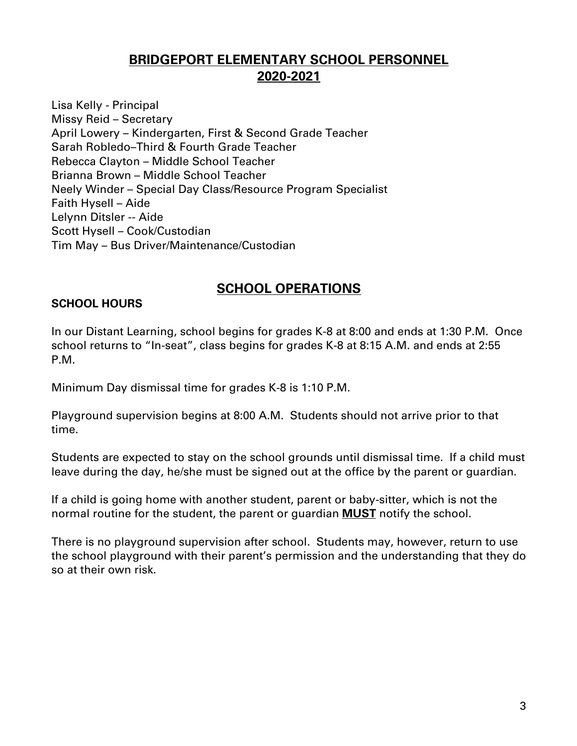# **BRIDGEPORT ELEMENTARY SCHOOL PERSONNEL 2020-2021**

Lisa Kelly - Principal Missy Reid – Secretary April Lowery – Kindergarten, First & Second Grade Teacher Sarah Robledo–Third & Fourth Grade Teacher Rebecca Clayton – Middle School Teacher Brianna Brown – Middle School Teacher Neely Winder – Special Day Class/Resource Program Specialist Faith Hysell – Aide Lelynn Ditsler -- Aide Scott Hysell – Cook/Custodian Tim May – Bus Driver/Maintenance/Custodian

# **SCHOOL OPERATIONS**

### **SCHOOL HOURS**

In our Distant Learning, school begins for grades K-8 at 8:00 and ends at 1:30 P.M. Once school returns to "In-seat", class begins for grades K-8 at 8:15 A.M. and ends at 2:55 P.M.

Minimum Day dismissal time for grades K-8 is 1:10 P.M.

Playground supervision begins at 8:00 A.M. Students should not arrive prior to that time.

Students are expected to stay on the school grounds until dismissal time. If a child must leave during the day, he/she must be signed out at the office by the parent or guardian.

If a child is going home with another student, parent or baby-sitter, which is not the normal routine for the student, the parent or guardian **MUST** notify the school.

There is no playground supervision after school. Students may, however, return to use the school playground with their parent's permission and the understanding that they do so at their own risk.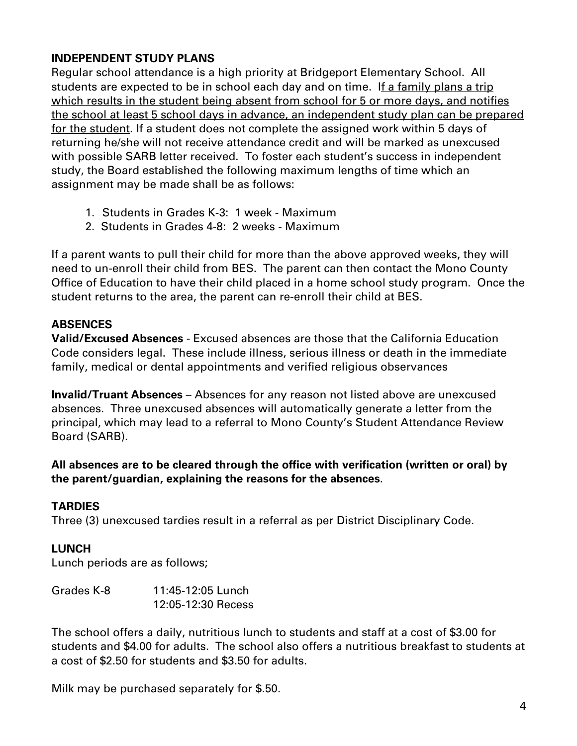## **INDEPENDENT STUDY PLANS**

Regular school attendance is a high priority at Bridgeport Elementary School. All students are expected to be in school each day and on time. If a family plans a trip which results in the student being absent from school for 5 or more days, and notifies the school at least 5 school days in advance, an independent study plan can be prepared for the student. If a student does not complete the assigned work within 5 days of returning he/she will not receive attendance credit and will be marked as unexcused with possible SARB letter received. To foster each student's success in independent study, the Board established the following maximum lengths of time which an assignment may be made shall be as follows:

- 1. Students in Grades K-3: 1 week Maximum
- 2. Students in Grades 4-8: 2 weeks Maximum

If a parent wants to pull their child for more than the above approved weeks, they will need to un-enroll their child from BES. The parent can then contact the Mono County Office of Education to have their child placed in a home school study program. Once the student returns to the area, the parent can re-enroll their child at BES.

### **ABSENCES**

**Valid/Excused Absences** - Excused absences are those that the California Education Code considers legal. These include illness, serious illness or death in the immediate family, medical or dental appointments and verified religious observances

**Invalid/Truant Absences** – Absences for any reason not listed above are unexcused absences. Three unexcused absences will automatically generate a letter from the principal, which may lead to a referral to Mono County's Student Attendance Review Board (SARB).

**All absences are to be cleared through the office with verification (written or oral) by the parent/guardian, explaining the reasons for the absences**.

## **TARDIES**

Three (3) unexcused tardies result in a referral as per District Disciplinary Code.

#### **LUNCH**

Lunch periods are as follows;

| Grades K-8 | 11:45-12:05 Lunch  |
|------------|--------------------|
|            | 12:05-12:30 Recess |

The school offers a daily, nutritious lunch to students and staff at a cost of \$3.00 for students and \$4.00 for adults. The school also offers a nutritious breakfast to students at a cost of \$2.50 for students and \$3.50 for adults.

Milk may be purchased separately for \$.50.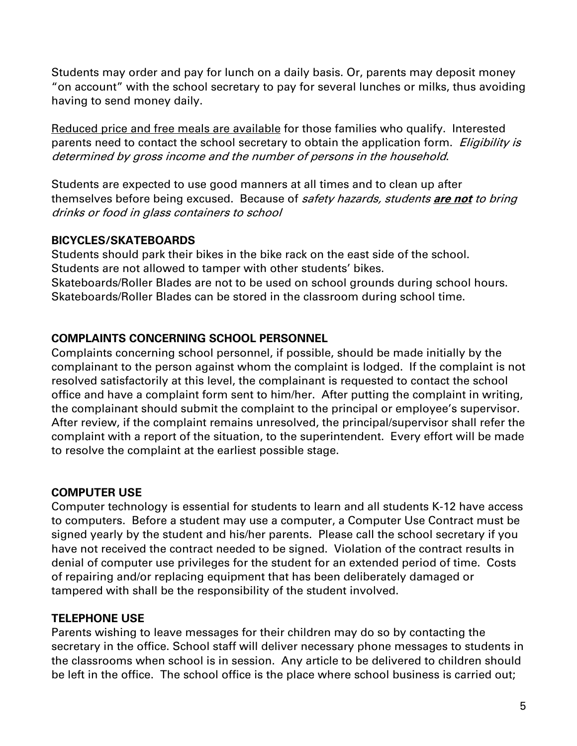Students may order and pay for lunch on a daily basis. Or, parents may deposit money "on account" with the school secretary to pay for several lunches or milks, thus avoiding having to send money daily.

Reduced price and free meals are available for those families who qualify. Interested parents need to contact the school secretary to obtain the application form. *Eligibility is* determined by gross income and the number of persons in the household.

Students are expected to use good manners at all times and to clean up after themselves before being excused. Because of safety hazards, students **are not** to bring drinks or food in glass containers to school

#### **BICYCLES/SKATEBOARDS**

Students should park their bikes in the bike rack on the east side of the school. Students are not allowed to tamper with other students' bikes. Skateboards/Roller Blades are not to be used on school grounds during school hours. Skateboards/Roller Blades can be stored in the classroom during school time.

## **COMPLAINTS CONCERNING SCHOOL PERSONNEL**

Complaints concerning school personnel, if possible, should be made initially by the complainant to the person against whom the complaint is lodged. If the complaint is not resolved satisfactorily at this level, the complainant is requested to contact the school office and have a complaint form sent to him/her. After putting the complaint in writing, the complainant should submit the complaint to the principal or employee's supervisor. After review, if the complaint remains unresolved, the principal/supervisor shall refer the complaint with a report of the situation, to the superintendent. Every effort will be made to resolve the complaint at the earliest possible stage.

## **COMPUTER USE**

Computer technology is essential for students to learn and all students K-12 have access to computers. Before a student may use a computer, a Computer Use Contract must be signed yearly by the student and his/her parents. Please call the school secretary if you have not received the contract needed to be signed. Violation of the contract results in denial of computer use privileges for the student for an extended period of time. Costs of repairing and/or replacing equipment that has been deliberately damaged or tampered with shall be the responsibility of the student involved.

## **TELEPHONE USE**

Parents wishing to leave messages for their children may do so by contacting the secretary in the office. School staff will deliver necessary phone messages to students in the classrooms when school is in session. Any article to be delivered to children should be left in the office. The school office is the place where school business is carried out;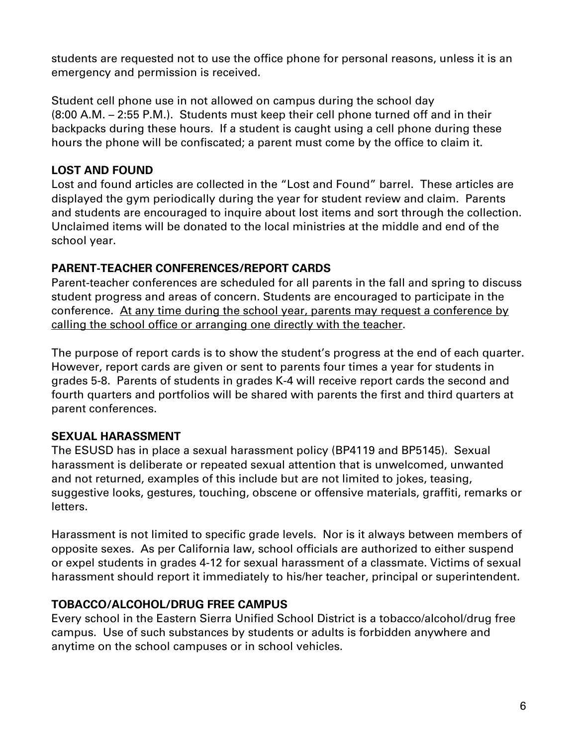students are requested not to use the office phone for personal reasons, unless it is an emergency and permission is received.

Student cell phone use in not allowed on campus during the school day (8:00 A.M. – 2:55 P.M.). Students must keep their cell phone turned off and in their backpacks during these hours. If a student is caught using a cell phone during these hours the phone will be confiscated; a parent must come by the office to claim it.

## **LOST AND FOUND**

Lost and found articles are collected in the "Lost and Found" barrel. These articles are displayed the gym periodically during the year for student review and claim. Parents and students are encouraged to inquire about lost items and sort through the collection. Unclaimed items will be donated to the local ministries at the middle and end of the school year.

## **PARENT-TEACHER CONFERENCES/REPORT CARDS**

Parent-teacher conferences are scheduled for all parents in the fall and spring to discuss student progress and areas of concern. Students are encouraged to participate in the conference. At any time during the school year, parents may request a conference by calling the school office or arranging one directly with the teacher.

The purpose of report cards is to show the student's progress at the end of each quarter. However, report cards are given or sent to parents four times a year for students in grades 5-8. Parents of students in grades K-4 will receive report cards the second and fourth quarters and portfolios will be shared with parents the first and third quarters at parent conferences.

## **SEXUAL HARASSMENT**

The ESUSD has in place a sexual harassment policy (BP4119 and BP5145). Sexual harassment is deliberate or repeated sexual attention that is unwelcomed, unwanted and not returned, examples of this include but are not limited to jokes, teasing, suggestive looks, gestures, touching, obscene or offensive materials, graffiti, remarks or letters.

Harassment is not limited to specific grade levels. Nor is it always between members of opposite sexes. As per California law, school officials are authorized to either suspend or expel students in grades 4-12 for sexual harassment of a classmate. Victims of sexual harassment should report it immediately to his/her teacher, principal or superintendent.

## **TOBACCO/ALCOHOL/DRUG FREE CAMPUS**

Every school in the Eastern Sierra Unified School District is a tobacco/alcohol/drug free campus. Use of such substances by students or adults is forbidden anywhere and anytime on the school campuses or in school vehicles.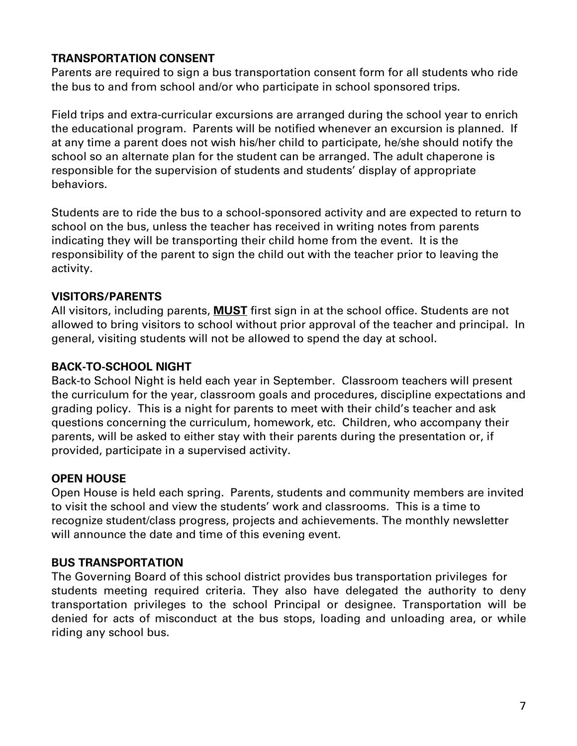## **TRANSPORTATION CONSENT**

Parents are required to sign a bus transportation consent form for all students who ride the bus to and from school and/or who participate in school sponsored trips.

Field trips and extra-curricular excursions are arranged during the school year to enrich the educational program. Parents will be notified whenever an excursion is planned. If at any time a parent does not wish his/her child to participate, he/she should notify the school so an alternate plan for the student can be arranged. The adult chaperone is responsible for the supervision of students and students' display of appropriate behaviors.

Students are to ride the bus to a school-sponsored activity and are expected to return to school on the bus, unless the teacher has received in writing notes from parents indicating they will be transporting their child home from the event. It is the responsibility of the parent to sign the child out with the teacher prior to leaving the activity.

### **VISITORS/PARENTS**

All visitors, including parents, **MUST** first sign in at the school office. Students are not allowed to bring visitors to school without prior approval of the teacher and principal. In general, visiting students will not be allowed to spend the day at school.

### **BACK-TO-SCHOOL NIGHT**

Back-to School Night is held each year in September. Classroom teachers will present the curriculum for the year, classroom goals and procedures, discipline expectations and grading policy. This is a night for parents to meet with their child's teacher and ask questions concerning the curriculum, homework, etc. Children, who accompany their parents, will be asked to either stay with their parents during the presentation or, if provided, participate in a supervised activity.

#### **OPEN HOUSE**

Open House is held each spring. Parents, students and community members are invited to visit the school and view the students' work and classrooms. This is a time to recognize student/class progress, projects and achievements. The monthly newsletter will announce the date and time of this evening event.

#### **BUS TRANSPORTATION**

The Governing Board of this school district provides bus transportation privileges for students meeting required criteria. They also have delegated the authority to deny transportation privileges to the school Principal or designee. Transportation will be denied for acts of misconduct at the bus stops, loading and unloading area, or while riding any school bus.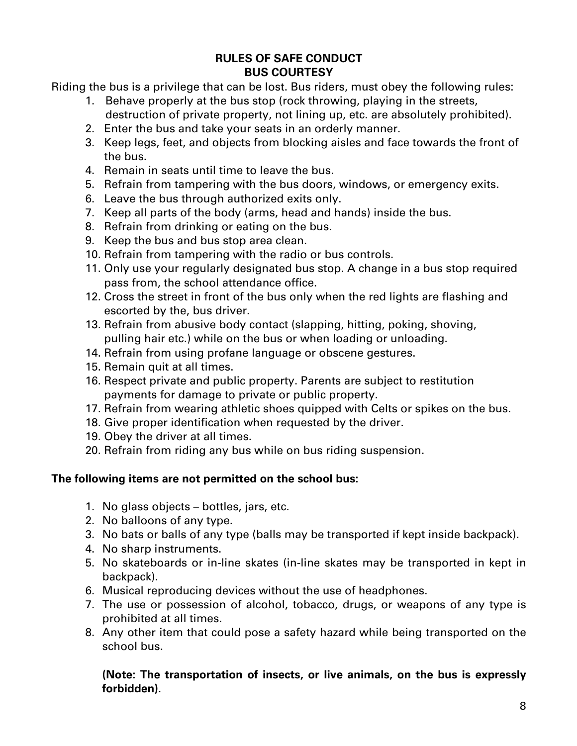### **RULES OF SAFE CONDUCT BUS COURTESY**

Riding the bus is a privilege that can be lost. Bus riders, must obey the following rules:

- 1. Behave properly at the bus stop (rock throwing, playing in the streets, destruction of private property, not lining up, etc. are absolutely prohibited).
- 2. Enter the bus and take your seats in an orderly manner.
- 3. Keep legs, feet, and objects from blocking aisles and face towards the front of the bus.
- 4. Remain in seats until time to leave the bus.
- 5. Refrain from tampering with the bus doors, windows, or emergency exits.
- 6. Leave the bus through authorized exits only.
- 7. Keep all parts of the body (arms, head and hands) inside the bus.
- 8. Refrain from drinking or eating on the bus.
- 9. Keep the bus and bus stop area clean.
- 10. Refrain from tampering with the radio or bus controls.
- 11. Only use your regularly designated bus stop. A change in a bus stop required pass from, the school attendance office.
- 12. Cross the street in front of the bus only when the red lights are flashing and escorted by the, bus driver.
- 13. Refrain from abusive body contact (slapping, hitting, poking, shoving, pulling hair etc.) while on the bus or when loading or unloading.
- 14. Refrain from using profane language or obscene gestures.
- 15. Remain quit at all times.
- 16. Respect private and public property. Parents are subject to restitution payments for damage to private or public property.
- 17. Refrain from wearing athletic shoes quipped with Celts or spikes on the bus.
- 18. Give proper identification when requested by the driver.
- 19. Obey the driver at all times.
- 20. Refrain from riding any bus while on bus riding suspension.

#### **The following items are not permitted on the school bus:**

- 1. No glass objects bottles, jars, etc.
- 2. No balloons of any type.
- 3. No bats or balls of any type (balls may be transported if kept inside backpack).
- 4. No sharp instruments.
- 5. No skateboards or in-line skates (in-line skates may be transported in kept in backpack).
- 6. Musical reproducing devices without the use of headphones.
- 7. The use or possession of alcohol, tobacco, drugs, or weapons of any type is prohibited at all times.
- 8. Any other item that could pose a safety hazard while being transported on the school bus.

#### **(Note: The transportation of insects, or live animals, on the bus is expressly forbidden).**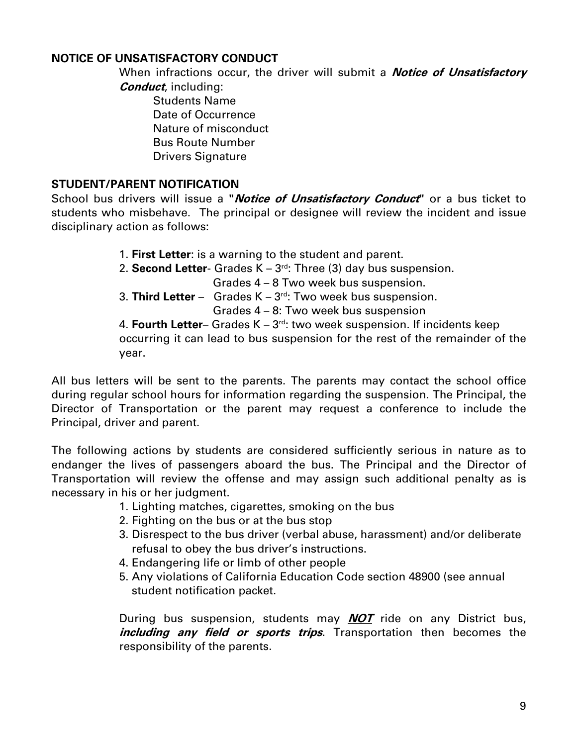## **NOTICE OF UNSATISFACTORY CONDUCT**

When infractions occur, the driver will submit a **Notice of Unsatisfactory Conduct**, including:

Students Name Date of Occurrence Nature of misconduct Bus Route Number Drivers Signature

### **STUDENT/PARENT NOTIFICATION**

School bus drivers will issue a **"Notice of Unsatisfactory Conduct"** or a bus ticket to students who misbehave. The principal or designee will review the incident and issue disciplinary action as follows:

- 1. **First Letter**: is a warning to the student and parent.
- 2. **Second Letter** Grades K 3rd: Three (3) day bus suspension.

Grades 4 – 8 Two week bus suspension.

3. **Third Letter** – Grades K – 3rd: Two week bus suspension.

Grades 4 – 8: Two week bus suspension

4. **Fourth Letter**– Grades K – 3rd: two week suspension. If incidents keep

occurring it can lead to bus suspension for the rest of the remainder of the year.

All bus letters will be sent to the parents. The parents may contact the school office during regular school hours for information regarding the suspension. The Principal, the Director of Transportation or the parent may request a conference to include the Principal, driver and parent.

The following actions by students are considered sufficiently serious in nature as to endanger the lives of passengers aboard the bus. The Principal and the Director of Transportation will review the offense and may assign such additional penalty as is necessary in his or her judgment.

- 1. Lighting matches, cigarettes, smoking on the bus
- 2. Fighting on the bus or at the bus stop
- 3. Disrespect to the bus driver (verbal abuse, harassment) and/or deliberate refusal to obey the bus driver's instructions.
- 4. Endangering life or limb of other people
- 5. Any violations of California Education Code section 48900 (see annual student notification packet.

During bus suspension, students may **NOT** ride on any District bus, **including any field or sports trips.** Transportation then becomes the responsibility of the parents.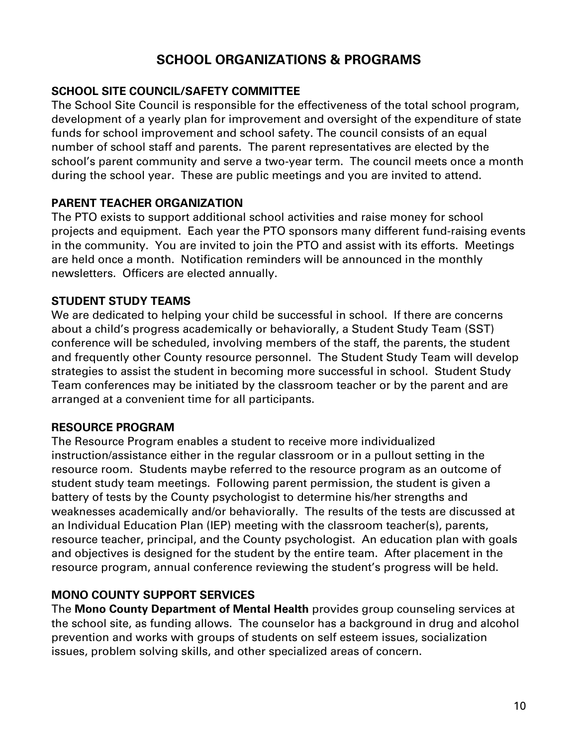# **SCHOOL ORGANIZATIONS & PROGRAMS**

### **SCHOOL SITE COUNCIL/SAFETY COMMITTEE**

The School Site Council is responsible for the effectiveness of the total school program, development of a yearly plan for improvement and oversight of the expenditure of state funds for school improvement and school safety. The council consists of an equal number of school staff and parents. The parent representatives are elected by the school's parent community and serve a two-year term. The council meets once a month during the school year. These are public meetings and you are invited to attend.

### **PARENT TEACHER ORGANIZATION**

The PTO exists to support additional school activities and raise money for school projects and equipment. Each year the PTO sponsors many different fund-raising events in the community. You are invited to join the PTO and assist with its efforts. Meetings are held once a month. Notification reminders will be announced in the monthly newsletters. Officers are elected annually.

### **STUDENT STUDY TEAMS**

We are dedicated to helping your child be successful in school. If there are concerns about a child's progress academically or behaviorally, a Student Study Team (SST) conference will be scheduled, involving members of the staff, the parents, the student and frequently other County resource personnel. The Student Study Team will develop strategies to assist the student in becoming more successful in school. Student Study Team conferences may be initiated by the classroom teacher or by the parent and are arranged at a convenient time for all participants.

#### **RESOURCE PROGRAM**

The Resource Program enables a student to receive more individualized instruction/assistance either in the regular classroom or in a pullout setting in the resource room. Students maybe referred to the resource program as an outcome of student study team meetings. Following parent permission, the student is given a battery of tests by the County psychologist to determine his/her strengths and weaknesses academically and/or behaviorally. The results of the tests are discussed at an Individual Education Plan (IEP) meeting with the classroom teacher(s), parents, resource teacher, principal, and the County psychologist. An education plan with goals and objectives is designed for the student by the entire team. After placement in the resource program, annual conference reviewing the student's progress will be held.

## **MONO COUNTY SUPPORT SERVICES**

The **Mono County Department of Mental Health** provides group counseling services at the school site, as funding allows. The counselor has a background in drug and alcohol prevention and works with groups of students on self esteem issues, socialization issues, problem solving skills, and other specialized areas of concern.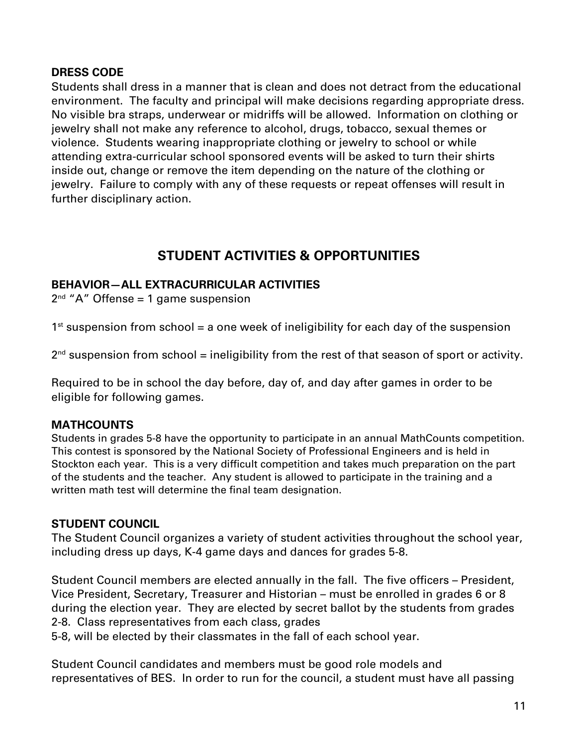### **DRESS CODE**

Students shall dress in a manner that is clean and does not detract from the educational environment. The faculty and principal will make decisions regarding appropriate dress. No visible bra straps, underwear or midriffs will be allowed. Information on clothing or jewelry shall not make any reference to alcohol, drugs, tobacco, sexual themes or violence. Students wearing inappropriate clothing or jewelry to school or while attending extra-curricular school sponsored events will be asked to turn their shirts inside out, change or remove the item depending on the nature of the clothing or jewelry. Failure to comply with any of these requests or repeat offenses will result in further disciplinary action.

# **STUDENT ACTIVITIES & OPPORTUNITIES**

## **BEHAVIOR—ALL EXTRACURRICULAR ACTIVITIES**

 $2<sup>nd</sup>$  "A" Offense = 1 game suspension

 $1<sup>st</sup>$  suspension from school = a one week of ineligibility for each day of the suspension

 $2<sup>nd</sup>$  suspension from school = ineligibility from the rest of that season of sport or activity.

Required to be in school the day before, day of, and day after games in order to be eligible for following games.

## **MATHCOUNTS**

Students in grades 5-8 have the opportunity to participate in an annual MathCounts competition. This contest is sponsored by the National Society of Professional Engineers and is held in Stockton each year. This is a very difficult competition and takes much preparation on the part of the students and the teacher. Any student is allowed to participate in the training and a written math test will determine the final team designation.

#### **STUDENT COUNCIL**

The Student Council organizes a variety of student activities throughout the school year, including dress up days, K-4 game days and dances for grades 5-8.

Student Council members are elected annually in the fall. The five officers – President, Vice President, Secretary, Treasurer and Historian – must be enrolled in grades 6 or 8 during the election year. They are elected by secret ballot by the students from grades 2-8. Class representatives from each class, grades

5-8, will be elected by their classmates in the fall of each school year.

Student Council candidates and members must be good role models and representatives of BES. In order to run for the council, a student must have all passing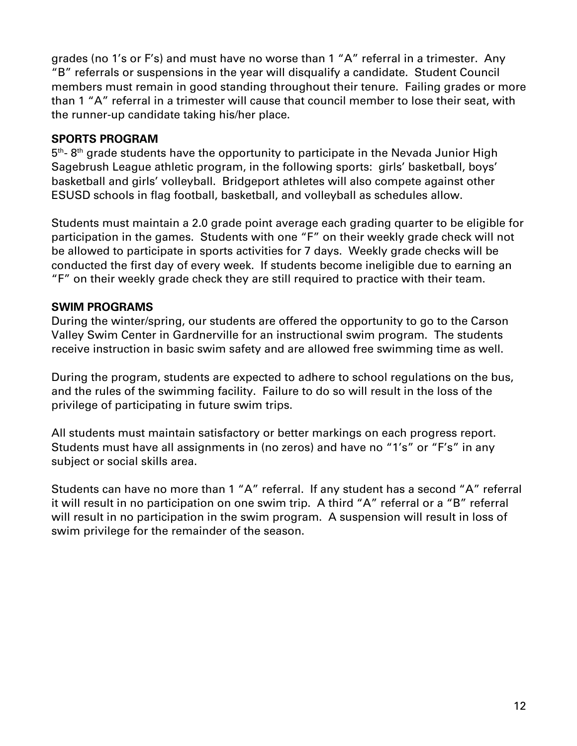grades (no 1's or F's) and must have no worse than 1 "A" referral in a trimester. Any "B" referrals or suspensions in the year will disqualify a candidate. Student Council members must remain in good standing throughout their tenure. Failing grades or more than 1 "A" referral in a trimester will cause that council member to lose their seat, with the runner-up candidate taking his/her place.

### **SPORTS PROGRAM**

 $5<sup>th</sup>$ - 8<sup>th</sup> grade students have the opportunity to participate in the Nevada Junior High Sagebrush League athletic program, in the following sports: girls' basketball, boys' basketball and girls' volleyball. Bridgeport athletes will also compete against other ESUSD schools in flag football, basketball, and volleyball as schedules allow.

Students must maintain a 2.0 grade point average each grading quarter to be eligible for participation in the games. Students with one "F" on their weekly grade check will not be allowed to participate in sports activities for 7 days. Weekly grade checks will be conducted the first day of every week. If students become ineligible due to earning an "F" on their weekly grade check they are still required to practice with their team.

### **SWIM PROGRAMS**

During the winter/spring, our students are offered the opportunity to go to the Carson Valley Swim Center in Gardnerville for an instructional swim program. The students receive instruction in basic swim safety and are allowed free swimming time as well.

During the program, students are expected to adhere to school regulations on the bus, and the rules of the swimming facility. Failure to do so will result in the loss of the privilege of participating in future swim trips.

All students must maintain satisfactory or better markings on each progress report. Students must have all assignments in (no zeros) and have no "1's" or "F's" in any subject or social skills area.

Students can have no more than 1 "A" referral. If any student has a second "A" referral it will result in no participation on one swim trip. A third "A" referral or a "B" referral will result in no participation in the swim program. A suspension will result in loss of swim privilege for the remainder of the season.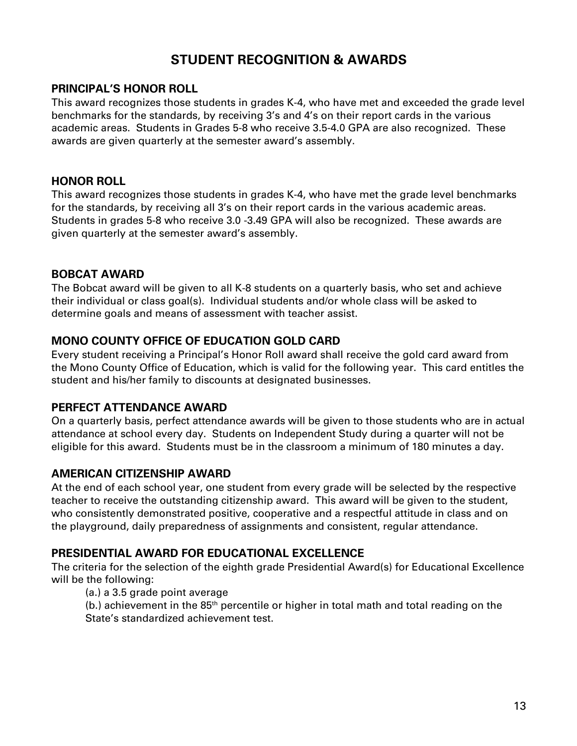# **STUDENT RECOGNITION & AWARDS**

#### **PRINCIPAL'S HONOR ROLL**

This award recognizes those students in grades K-4, who have met and exceeded the grade level benchmarks for the standards, by receiving 3's and 4's on their report cards in the various academic areas. Students in Grades 5-8 who receive 3.5-4.0 GPA are also recognized. These awards are given quarterly at the semester award's assembly.

#### **HONOR ROLL**

This award recognizes those students in grades K-4, who have met the grade level benchmarks for the standards, by receiving all 3's on their report cards in the various academic areas. Students in grades 5-8 who receive 3.0 -3.49 GPA will also be recognized. These awards are given quarterly at the semester award's assembly.

#### **BOBCAT AWARD**

The Bobcat award will be given to all K-8 students on a quarterly basis, who set and achieve their individual or class goal(s). Individual students and/or whole class will be asked to determine goals and means of assessment with teacher assist.

#### **MONO COUNTY OFFICE OF EDUCATION GOLD CARD**

Every student receiving a Principal's Honor Roll award shall receive the gold card award from the Mono County Office of Education, which is valid for the following year. This card entitles the student and his/her family to discounts at designated businesses.

#### **PERFECT ATTENDANCE AWARD**

On a quarterly basis, perfect attendance awards will be given to those students who are in actual attendance at school every day. Students on Independent Study during a quarter will not be eligible for this award. Students must be in the classroom a minimum of 180 minutes a day.

#### **AMERICAN CITIZENSHIP AWARD**

At the end of each school year, one student from every grade will be selected by the respective teacher to receive the outstanding citizenship award. This award will be given to the student, who consistently demonstrated positive, cooperative and a respectful attitude in class and on the playground, daily preparedness of assignments and consistent, regular attendance.

#### **PRESIDENTIAL AWARD FOR EDUCATIONAL EXCELLENCE**

The criteria for the selection of the eighth grade Presidential Award(s) for Educational Excellence will be the following:

(a.) a 3.5 grade point average

(b.) achievement in the 85th percentile or higher in total math and total reading on the State's standardized achievement test.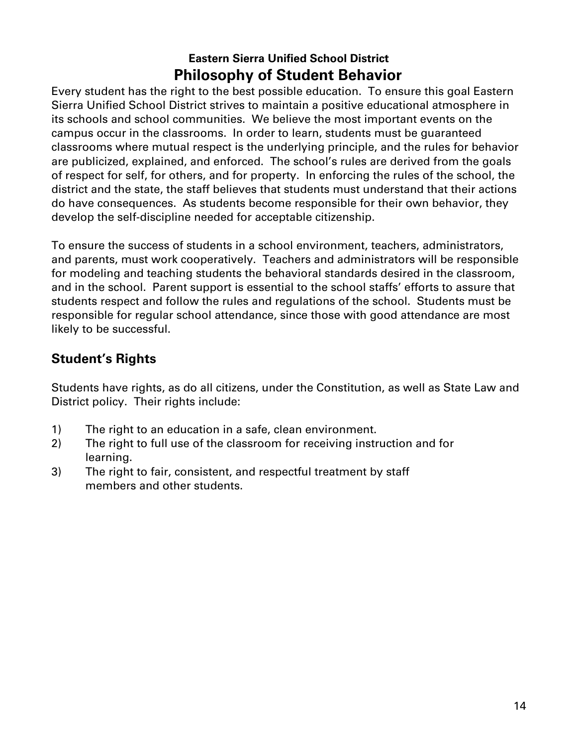# **Eastern Sierra Unified School District Philosophy of Student Behavior**

Every student has the right to the best possible education. To ensure this goal Eastern Sierra Unified School District strives to maintain a positive educational atmosphere in its schools and school communities. We believe the most important events on the campus occur in the classrooms. In order to learn, students must be guaranteed classrooms where mutual respect is the underlying principle, and the rules for behavior are publicized, explained, and enforced. The school's rules are derived from the goals of respect for self, for others, and for property. In enforcing the rules of the school, the district and the state, the staff believes that students must understand that their actions do have consequences. As students become responsible for their own behavior, they develop the self-discipline needed for acceptable citizenship.

To ensure the success of students in a school environment, teachers, administrators, and parents, must work cooperatively. Teachers and administrators will be responsible for modeling and teaching students the behavioral standards desired in the classroom, and in the school. Parent support is essential to the school staffs' efforts to assure that students respect and follow the rules and regulations of the school. Students must be responsible for regular school attendance, since those with good attendance are most likely to be successful.

# **Student's Rights**

Students have rights, as do all citizens, under the Constitution, as well as State Law and District policy. Their rights include:

- 1) The right to an education in a safe, clean environment.
- 2) The right to full use of the classroom for receiving instruction and for learning.
- 3) The right to fair, consistent, and respectful treatment by staff members and other students.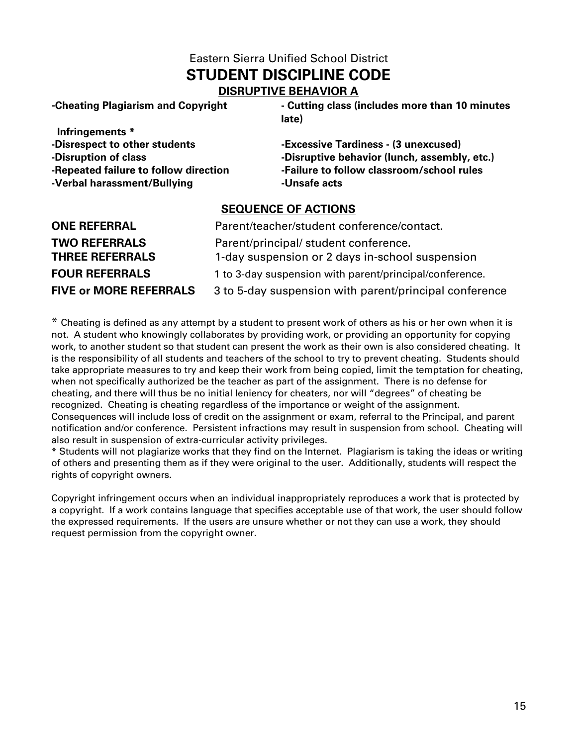## Eastern Sierra Unified School District **STUDENT DISCIPLINE CODE DISRUPTIVE BEHAVIOR A**

**-Cheating Plagiarism and Copyright - Cutting class (includes more than 10 minutes late)** 

 **Infringements \* -Disrespect to other students -Excessive Tardiness - (3 unexcused) -Verbal harassment/Bullying -Unsafe acts**

**-Disruption of class -Disruptive behavior (lunch, assembly, etc.) -Repeated failure to follow direction -Failure to follow classroom/school rules** 

#### **SEQUENCE OF ACTIONS**

| <b>ONE REFERRAL</b>                            | Parent/teacher/student conference/contact.                                               |
|------------------------------------------------|------------------------------------------------------------------------------------------|
| <b>TWO REFERRALS</b><br><b>THREE REFERRALS</b> | Parent/principal/ student conference.<br>1-day suspension or 2 days in-school suspension |
| <b>FOUR REFERRALS</b>                          | 1 to 3-day suspension with parent/principal/conference.                                  |
| <b>FIVE or MORE REFERRALS</b>                  | 3 to 5-day suspension with parent/principal conference                                   |

\* Cheating is defined as any attempt by a student to present work of others as his or her own when it is not. A student who knowingly collaborates by providing work, or providing an opportunity for copying work, to another student so that student can present the work as their own is also considered cheating. It is the responsibility of all students and teachers of the school to try to prevent cheating. Students should take appropriate measures to try and keep their work from being copied, limit the temptation for cheating, when not specifically authorized be the teacher as part of the assignment. There is no defense for cheating, and there will thus be no initial leniency for cheaters, nor will "degrees" of cheating be recognized. Cheating is cheating regardless of the importance or weight of the assignment. Consequences will include loss of credit on the assignment or exam, referral to the Principal, and parent notification and/or conference. Persistent infractions may result in suspension from school. Cheating will also result in suspension of extra-curricular activity privileges.

\* Students will not plagiarize works that they find on the Internet. Plagiarism is taking the ideas or writing of others and presenting them as if they were original to the user. Additionally, students will respect the rights of copyright owners.

Copyright infringement occurs when an individual inappropriately reproduces a work that is protected by a copyright. If a work contains language that specifies acceptable use of that work, the user should follow the expressed requirements. If the users are unsure whether or not they can use a work, they should request permission from the copyright owner.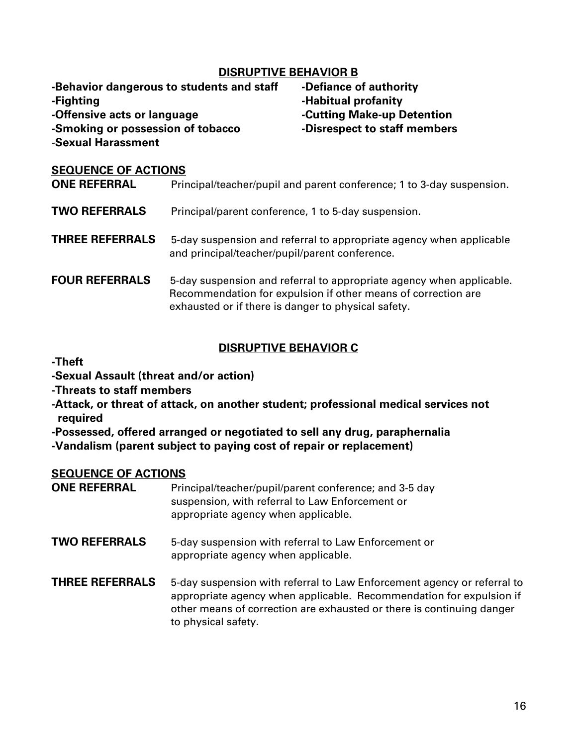#### **DISRUPTIVE BEHAVIOR B**

**-Behavior dangerous to students and staff -Defiance of authority -Fighting -Habitual profanity -Offensive acts or language -Cutting Make-up Detention -Smoking or possession of tobacco -Disrespect to staff members** -**Sexual Harassment**

#### **SEQUENCE OF ACTIONS**

| <b>ONE REFERRAL</b>    | Principal/teacher/pupil and parent conference; 1 to 3-day suspension.                                                                                                                        |
|------------------------|----------------------------------------------------------------------------------------------------------------------------------------------------------------------------------------------|
| <b>TWO REFERRALS</b>   | Principal/parent conference, 1 to 5-day suspension.                                                                                                                                          |
| <b>THREE REFERRALS</b> | 5-day suspension and referral to appropriate agency when applicable<br>and principal/teacher/pupil/parent conference.                                                                        |
| <b>FOUR REFERRALS</b>  | 5-day suspension and referral to appropriate agency when applicable.<br>Recommendation for expulsion if other means of correction are<br>exhausted or if there is danger to physical safety. |

#### **DISRUPTIVE BEHAVIOR C**

#### **-Theft**

**-Sexual Assault (threat and/or action)** 

**-Threats to staff members** 

**-Attack, or threat of attack, on another student; professional medical services not required**

**-Possessed, offered arranged or negotiated to sell any drug, paraphernalia**

**-Vandalism (parent subject to paying cost of repair or replacement)**

#### **SEQUENCE OF ACTIONS**

| <b>ONE REFERRAL</b> | Principal/teacher/pupil/parent conference; and 3-5 day |
|---------------------|--------------------------------------------------------|
|                     | suspension, with referral to Law Enforcement or        |
|                     | appropriate agency when applicable.                    |

- **TWO REFERRALS** 5-day suspension with referral to Law Enforcement or appropriate agency when applicable.
- **THREE REFERRALS** 5-day suspension with referral to Law Enforcement agency or referral to appropriate agency when applicable. Recommendation for expulsion if other means of correction are exhausted or there is continuing danger to physical safety.